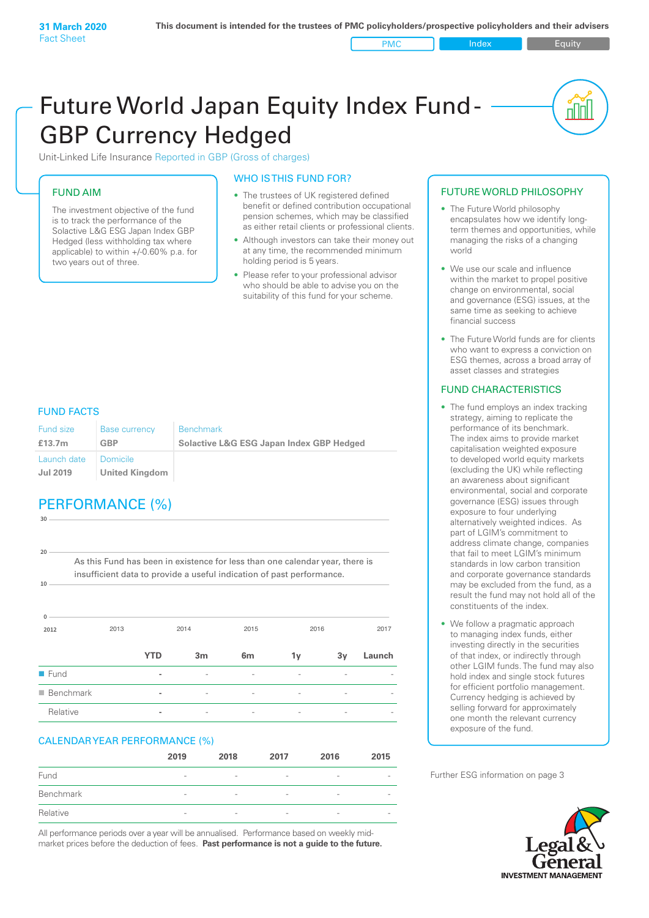**PMC** Index **Index** Equity

nN

# Future World Japan Equity Index Fund - GBP Currency Hedged

Unit-Linked Life Insurance Reported in GBP (Gross of charges)

#### FUND AIM

The investment objective of the fund is to track the performance of the Solactive L&G ESG Japan Index GBP Hedged (less withholding tax where applicable) to within +/-0.60% p.a. for two years out of three.

#### WHO IS THIS FUND FOR?

- The trustees of UK registered defined benefit or defined contribution occupational pension schemes, which may be classified as either retail clients or professional clients.
- Although investors can take their money out at any time, the recommended minimum holding period is 5 years.
- Please refer to your professional advisor who should be able to advise you on the suitability of this fund for your scheme.

#### FUND FACTS

| Fund size                      | <b>Base currency</b>              | <b>Benchmark</b>                                    |
|--------------------------------|-----------------------------------|-----------------------------------------------------|
| £13.7m                         | <b>GBP</b>                        | <b>Solactive L&amp;G ESG Japan Index GBP Hedged</b> |
| Launch date<br><b>Jul 2019</b> | Domicile<br><b>United Kingdom</b> |                                                     |

# PERFORMANCE (%)

**2012** 2013 2014 2015 2016 2017 **0 10 20 30** As this Fund has been in existence for less than one calendar year, there is insufficient data to provide a useful indication of past performance. **YTD 3m 6m 1y 3y Launch** n Fund **-** - - - - n Benchmark **-** - - - - - Relative **-** - - - - -

#### CALENDAR YEAR PERFORMANCE (%)

|           | 2019                     | 2018                     | 2017                     | 2016                         | 2015                     |
|-----------|--------------------------|--------------------------|--------------------------|------------------------------|--------------------------|
| Fund      | $\overline{\phantom{a}}$ | $\overline{\phantom{a}}$ | $\overline{\phantom{a}}$ | $\overline{\phantom{a}}$     | $\overline{\phantom{a}}$ |
| Benchmark | $\overline{\phantom{a}}$ | $\overline{\phantom{a}}$ | $\overline{\phantom{a}}$ | $\overline{\phantom{a}}$     | $\qquad \qquad$          |
| Relative  | $\overline{\phantom{a}}$ | $\overline{\phantom{0}}$ | $\overline{\phantom{a}}$ | $\qquad \qquad \blacksquare$ | $\overline{\phantom{a}}$ |

All performance periods over a year will be annualised. Performance based on weekly midmarket prices before the deduction of fees. **Past performance is not a guide to the future.**

#### FUTURE WORLD PHILOSOPHY

- The Future World philosophy encapsulates how we identify longterm themes and opportunities, while managing the risks of a changing world
- We use our scale and influence within the market to propel positive change on environmental, social and governance (ESG) issues, at the same time as seeking to achieve financial success
- The Future World funds are for clients who want to express a conviction on ESG themes, across a broad array of asset classes and strategies

#### FUND CHARACTERISTICS

- The fund employs an index tracking strategy, aiming to replicate the performance of its benchmark. The index aims to provide market capitalisation weighted exposure to developed world equity markets (excluding the UK) while reflecting an awareness about significant environmental, social and corporate governance (ESG) issues through exposure to four underlying alternatively weighted indices. As part of LGIM's commitment to address climate change, companies that fail to meet LGIM's minimum standards in low carbon transition and corporate governance standards may be excluded from the fund, as a result the fund may not hold all of the constituents of the index.
- We follow a pragmatic approach to managing index funds, either investing directly in the securities of that index, or indirectly through other LGIM funds. The fund may also hold index and single stock futures for efficient portfolio management. Currency hedging is achieved by selling forward for approximately one month the relevant currency exposure of the fund.

Further ESG information on page 3

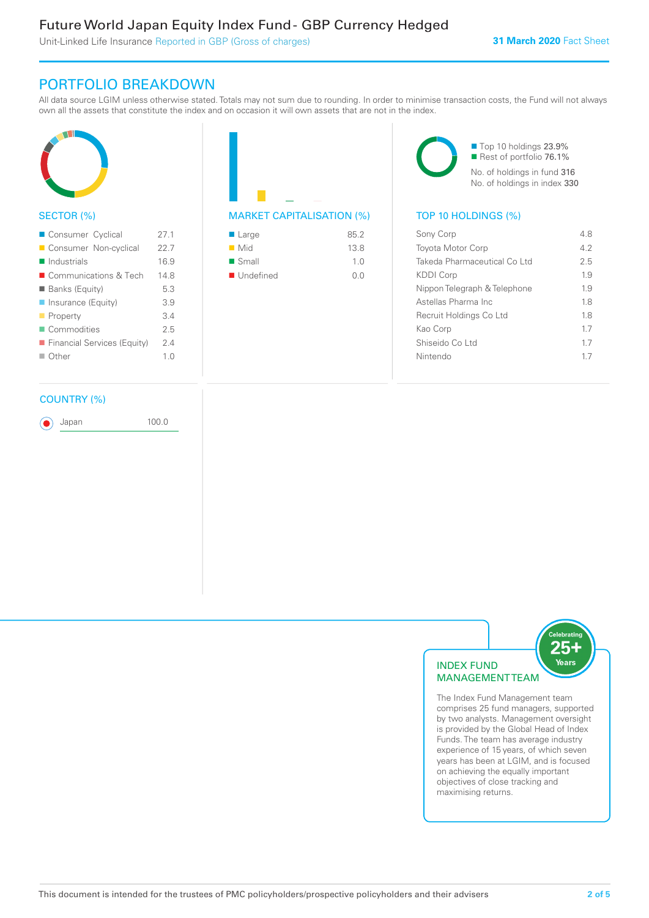# Future World Japan Equity Index Fund - GBP Currency Hedged

Unit-Linked Life Insurance Reported in GBP (Gross of charges)

### PORTFOLIO BREAKDOWN

All data source LGIM unless otherwise stated. Totals may not sum due to rounding. In order to minimise transaction costs, the Fund will not always own all the assets that constitute the index and on occasion it will own assets that are not in the index.



#### SECTOR (%)

| ■ Consumer Cyclical         | 271            |
|-----------------------------|----------------|
| Consumer Non-cyclical       | 22.7           |
| $\blacksquare$ Industrials  | 16.9           |
| ■ Communications & Tech     | 148            |
| <b>Banks (Equity)</b>       | 5.3            |
| ■ Insurance (Equity)        | 39             |
| $\blacksquare$ Property     | 34             |
| Commodities                 | 25             |
| Financial Services (Equity) | 24             |
| $\Box$ Other                | 1 <sub>0</sub> |
|                             |                |

#### COUNTRY (%)

Japan 100.0

| $\blacksquare$ Large | 85.2           |
|----------------------|----------------|
| $\blacksquare$ Mid   | 13.8           |
| $\blacksquare$ Small | 1 <sub>0</sub> |
| ■ Undefined          | 0 O            |
|                      |                |

■ Top 10 holdings 23.9% Rest of portfolio 76.1% No. of holdings in fund 316 No. of holdings in index 330

#### MARKET CAPITALISATION (%) TOP 10 HOLDINGS (%)

| Sony Corp                    | 48  |
|------------------------------|-----|
| <b>Toyota Motor Corp</b>     | 42  |
| Takeda Pharmaceutical Co Ltd | 2.5 |
| KDDI Corp                    | 19  |
| Nippon Telegraph & Telephone | 19  |
| Astellas Pharma Inc.         | 18  |
| Recruit Holdings Co Ltd      | 18  |
| Kao Corp                     | 17  |
| Shiseido Co Ltd              | 17  |
| Nintendo                     | 17  |
|                              |     |



The Index Fund Management team comprises 25 fund managers, supported by two analysts. Management oversight is provided by the Global Head of Index Funds. The team has average industry experience of 15 years, of which seven years has been at LGIM, and is focused on achieving the equally important objectives of close tracking and maximising returns.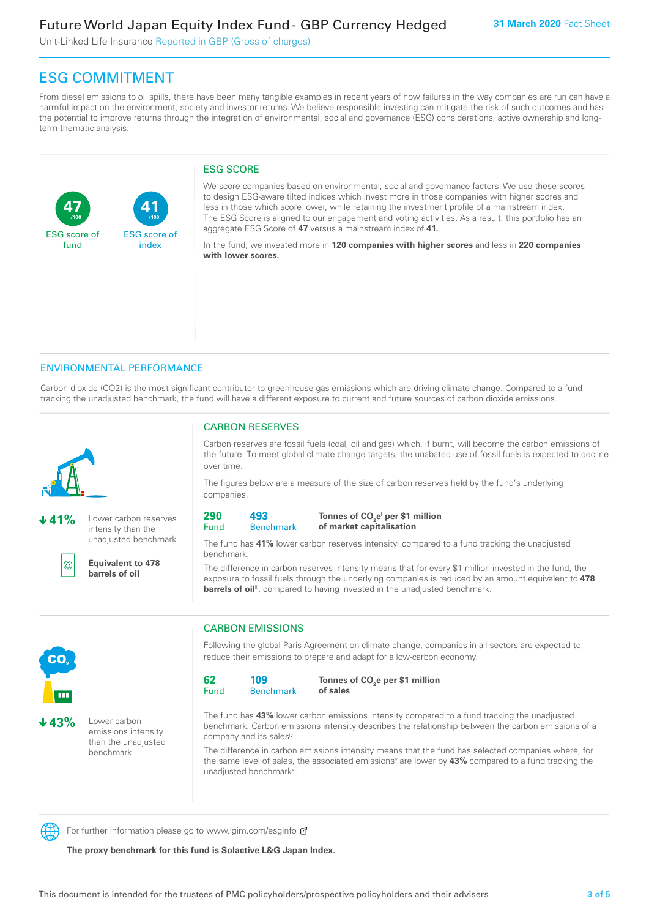Unit-Linked Life Insurance Reported in GBP (Gross of charges)

# ESG COMMITMENT

From diesel emissions to oil spills, there have been many tangible examples in recent years of how failures in the way companies are run can have a harmful impact on the environment, society and investor returns. We believe responsible investing can mitigate the risk of such outcomes and has the potential to improve returns through the integration of environmental, social and governance (ESG) considerations, active ownership and longterm thematic analysis.

#### ESG SCORE

**47** ESG score of fund **41** ESG score of index **/100 /100**

We score companies based on environmental, social and governance factors. We use these scores to design ESG-aware tilted indices which invest more in those companies with higher scores and less in those which score lower, while retaining the investment profile of a mainstream index. The ESG Score is aligned to our engagement and voting activities. As a result, this portfolio has an aggregate ESG Score of **47** versus a mainstream index of **41.**

In the fund, we invested more in **120 companies with higher scores** and less in **220 companies with lower scores.**

#### ENVIRONMENTAL PERFORMANCE

Carbon dioxide (CO2) is the most significant contributor to greenhouse gas emissions which are driving climate change. Compared to a fund tracking the unadjusted benchmark, the fund will have a different exposure to current and future sources of carbon dioxide emissions.



**41%** Lower carbon reserves intensity than the unadjusted benchmark



**Equivalent to 478** 

**barrels of oil**

### CARBON RESERVES

Carbon reserves are fossil fuels (coal, oil and gas) which, if burnt, will become the carbon emissions of the future. To meet global climate change targets, the unabated use of fossil fuels is expected to decline over time.

The figures below are a measure of the size of carbon reserves held by the fund's underlying companies.

| 290  | 493         |
|------|-------------|
| Fund | <b>Reno</b> |

**Benchmark** Tonnes of CO<sub>2</sub>e<sup>i</sup> per \$1 million **of market capitalisation**

The fund has 41% lower carbon reserves intensity<sup>ii</sup> compared to a fund tracking the unadjusted benchmark.

The difference in carbon reserves intensity means that for every \$1 million invested in the fund, the exposure to fossil fuels through the underlying companies is reduced by an amount equivalent to **478**  barrels of oil<sup>iii</sup>, compared to having invested in the unadjusted benchmark.



**43%** Lower carbon emissions intensity than the unadjusted benchmark

### CARBON EMISSIONS

Following the global Paris Agreement on climate change, companies in all sectors are expected to reduce their emissions to prepare and adapt for a low-carbon economy.

| 62   | 109              |
|------|------------------|
| Fund | <b>Benchmark</b> |

Tonnes of CO<sub>2</sub>e per \$1 million **of sales**

The fund has **43%** lower carbon emissions intensity compared to a fund tracking the unadjusted benchmark. Carbon emissions intensity describes the relationship between the carbon emissions of a company and its sales<sup>iv</sup>.

The difference in carbon emissions intensity means that the fund has selected companies where, for the same level of sales, the associated emissions<sup>v</sup> are lower by **43%** compared to a fund tracking the unadjusted benchmark<sup>vi</sup>.

For further information please go to www.lgim.com/esginfo Ø

**The proxy benchmark for this fund is Solactive L&G Japan Index.**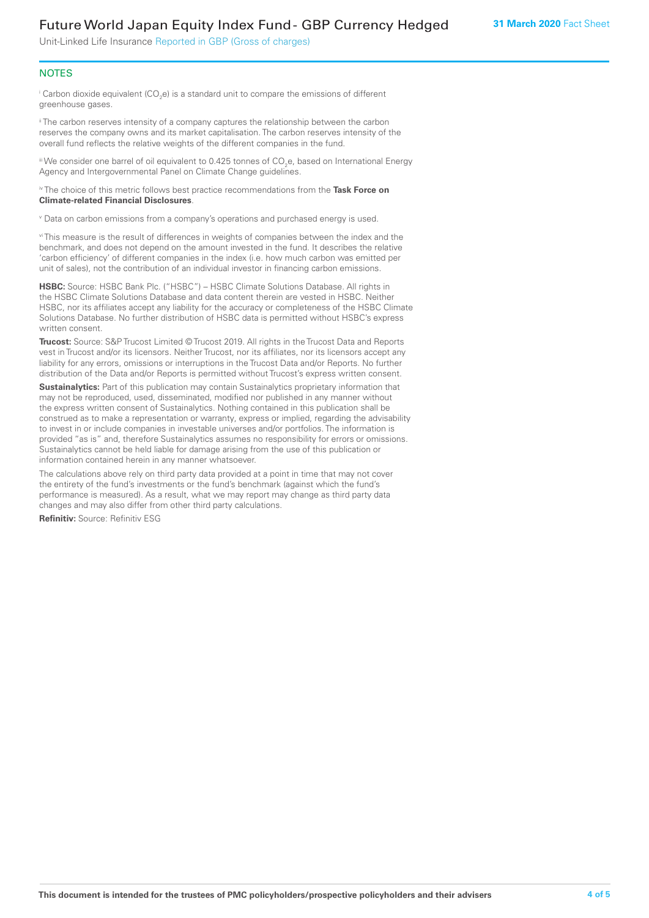## Future World Japan Equity Index Fund - GBP Currency Hedged

Unit-Linked Life Insurance Reported in GBP (Gross of charges)

#### **NOTES**

 $^\mathrm{i}$  Carbon dioxide equivalent (CO<sub>2</sub>e) is a standard unit to compare the emissions of different greenhouse gases.

<sup>ii</sup> The carbon reserves intensity of a company captures the relationship between the carbon reserves the company owns and its market capitalisation. The carbon reserves intensity of the overall fund reflects the relative weights of the different companies in the fund.

iii We consider one barrel of oil equivalent to 0.425 tonnes of CO<sub>2</sub>e, based on International Energy Agency and Intergovernmental Panel on Climate Change guidelines.

#### iv The choice of this metric follows best practice recommendations from the **Task Force on Climate-related Financial Disclosures**.

v Data on carbon emissions from a company's operations and purchased energy is used.

vi This measure is the result of differences in weights of companies between the index and the benchmark, and does not depend on the amount invested in the fund. It describes the relative 'carbon efficiency' of different companies in the index (i.e. how much carbon was emitted per unit of sales), not the contribution of an individual investor in financing carbon emissions.

**HSBC:** Source: HSBC Bank Plc. ("HSBC") – HSBC Climate Solutions Database. All rights in the HSBC Climate Solutions Database and data content therein are vested in HSBC. Neither HSBC, nor its affiliates accept any liability for the accuracy or completeness of the HSBC Climate Solutions Database. No further distribution of HSBC data is permitted without HSBC's express written consent.

**Trucost:** Source: S&P Trucost Limited © Trucost 2019. All rights in the Trucost Data and Reports vest in Trucost and/or its licensors. Neither Trucost, nor its affiliates, nor its licensors accept any liability for any errors, omissions or interruptions in the Trucost Data and/or Reports. No further distribution of the Data and/or Reports is permitted without Trucost's express written consent.

**Sustainalytics:** Part of this publication may contain Sustainalytics proprietary information that may not be reproduced, used, disseminated, modified nor published in any manner without the express written consent of Sustainalytics. Nothing contained in this publication shall be construed as to make a representation or warranty, express or implied, regarding the advisability to invest in or include companies in investable universes and/or portfolios. The information is provided "as is" and, therefore Sustainalytics assumes no responsibility for errors or omissions. Sustainalytics cannot be held liable for damage arising from the use of this publication or information contained herein in any manner whatsoever.

The calculations above rely on third party data provided at a point in time that may not cover the entirety of the fund's investments or the fund's benchmark (against which the fund's performance is measured). As a result, what we may report may change as third party data changes and may also differ from other third party calculations.

**Refinitiv:** Source: Refinitiv ESG